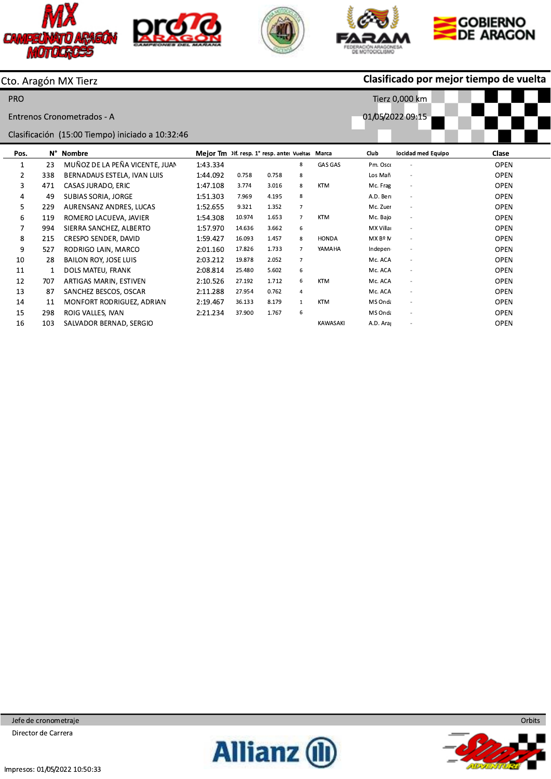







Tierz 0,000 km

01/05/2022 09:15



### Clasificado por mejor tiempo de vuelta

Cto. Aragón MX Tierz

PRO

Entrenos Cronometrados - A

Clasificación (15:00 Tiempo) iniciado a 10:32:46

| Pos.           | Ν°  | Nombre                         | Meior Tm Dif. resp. 1° resp. ante Vueltas Marca |        |       |                |                 | Club      | locidad med Equipo       | Clase       |
|----------------|-----|--------------------------------|-------------------------------------------------|--------|-------|----------------|-----------------|-----------|--------------------------|-------------|
| 1              | 23  | MUÑOZ DE LA PEÑA VICENTE, JUAN | 1:43.334                                        |        |       | 8              | <b>GAS GAS</b>  | Pm. Osco  | ٠                        | <b>OPEN</b> |
| $\overline{2}$ | 338 | BERNADAUS ESTELA, IVAN LUIS    | 1:44.092                                        | 0.758  | 0.758 | 8              |                 | Los Mañ   | $\sim$                   | <b>OPEN</b> |
| 3              | 471 | CASAS JURADO, ERIC             | 1:47.108                                        | 3.774  | 3.016 | 8              | KTM             | Mc. Frag  | $\sim$                   | <b>OPEN</b> |
| 4              | 49  | SUBIAS SORIA, JORGE            | 1:51.303                                        | 7.969  | 4.195 | 8              |                 | A.D. Beri | ٠                        | <b>OPEN</b> |
| 5              | 229 | AURENSANZ ANDRES, LUCAS        | 1:52.655                                        | 9.321  | 1.352 | $\overline{7}$ |                 | Mc. Zuer  | $\overline{\phantom{a}}$ | <b>OPEN</b> |
| 6              | 119 | ROMERO LACUEVA, JAVIER         | 1:54.308                                        | 10.974 | 1.653 | $\overline{7}$ | <b>KTM</b>      | Mc. Bajo  | $\sim$                   | <b>OPEN</b> |
|                | 994 | SIERRA SANCHEZ, ALBERTO        | 1:57.970                                        | 14.636 | 3.662 | 6              |                 | MX Villar | $\overline{\phantom{a}}$ | <b>OPEN</b> |
| 8              | 215 | CRESPO SENDER, DAVID           | 1:59.427                                        | 16.093 | 1.457 | 8              | <b>HONDA</b>    | MX Bº M   | $\overline{\phantom{a}}$ | <b>OPEN</b> |
| 9              | 527 | RODRIGO LAIN, MARCO            | 2:01.160                                        | 17.826 | 1.733 | $\overline{7}$ | YAMAHA          | Indepen   | $\overline{\phantom{a}}$ | <b>OPEN</b> |
| 10             | 28  | BAILON ROY, JOSE LUIS          | 2:03.212                                        | 19.878 | 2.052 | $\overline{7}$ |                 | Mc. ACA   | ٠                        | <b>OPEN</b> |
| 11             | 1   | DOLS MATEU, FRANK              | 2:08.814                                        | 25.480 | 5.602 | 6              |                 | Mc. ACA   | $\overline{\phantom{a}}$ | <b>OPEN</b> |
| 12             | 707 | ARTIGAS MARIN, ESTIVEN         | 2:10.526                                        | 27.192 | 1.712 | 6              | <b>KTM</b>      | Mc. ACA   | $\overline{\phantom{a}}$ | <b>OPEN</b> |
| 13             | 87  | SANCHEZ BESCOS, OSCAR          | 2:11.288                                        | 27.954 | 0.762 | $\overline{4}$ |                 | Mc. ACA   | $\sim$                   | <b>OPEN</b> |
| 14             | 11  | MONFORT RODRIGUEZ, ADRIAN      | 2:19.467                                        | 36.133 | 8.179 | $\mathbf{1}$   | <b>KTM</b>      | MS Onda   | $\sim$                   | <b>OPEN</b> |
| 15             | 298 | ROIG VALLES, IVAN              | 2:21.234                                        | 37.900 | 1.767 | 6              |                 | MS Onda   | $\sim$                   | <b>OPEN</b> |
| 16             | 103 | SALVADOR BERNAD, SERGIO        |                                                 |        |       |                | <b>KAWASAKI</b> | A.D. Ara  | $\qquad \qquad -$        | <b>OPEN</b> |

Jefe de cronometraje Director de Carrera



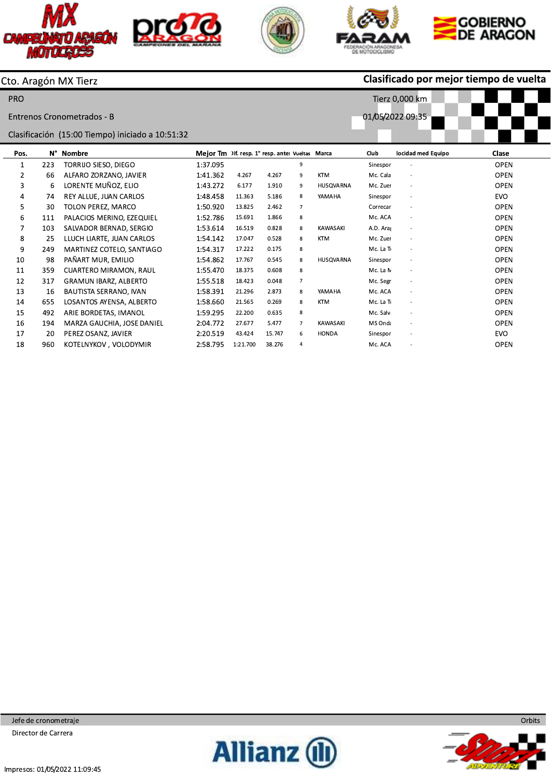







Tierz 0,000 km

01/05/2022 09:35



## Clasificado por mejor tiempo de vuelta

Cto. Aragón MX Tierz

PRO

Entrenos Cronometrados - B

Clasificación (15:00 Tiempo) iniciado a 10:51:32

| Pos. | N°  | Nombre                       | Meior Tm Dif. resp. 1° resp. ante Vueltas Marca |          |        |                |                 | Club      | locidad med Equipo       | Clase       |
|------|-----|------------------------------|-------------------------------------------------|----------|--------|----------------|-----------------|-----------|--------------------------|-------------|
| 1    | 223 | TORRIJO SIESO. DIEGO         | 1:37.095                                        |          |        | 9              |                 | Sinespor  | $\overline{\phantom{m}}$ | <b>OPEN</b> |
| 2    | 66  | ALFARO ZORZANO, JAVIER       | 1:41.362                                        | 4.267    | 4.267  | 9              | <b>KTM</b>      | Mc. Cala  | $\sim$                   | <b>OPEN</b> |
| 3    | 6   | LORENTE MUÑOZ, ELIO          | 1:43.272                                        | 6.177    | 1.910  | 9              | HUSQVARNA       | Mc. Zuer  | $\overline{\phantom{a}}$ | <b>OPEN</b> |
| 4    | 74  | REY ALLUE, JUAN CARLOS       | 1:48.458                                        | 11.363   | 5.186  | 8              | YAMAHA          | Sinespor  | $\overline{\phantom{a}}$ | <b>EVO</b>  |
| 5    | 30  | TOLON PEREZ, MARCO           | 1:50.920                                        | 13.825   | 2.462  | $\overline{7}$ |                 | Correcar  | $\overline{\phantom{a}}$ | <b>OPEN</b> |
| 6    | 111 | PALACIOS MERINO, EZEQUIEL    | 1:52.786                                        | 15.691   | 1.866  | 8              |                 | Mc. ACA   | $\overline{\phantom{a}}$ | <b>OPEN</b> |
|      | 103 | SALVADOR BERNAD, SERGIO      | 1:53.614                                        | 16.519   | 0.828  | 8              | <b>KAWASAKI</b> | A.D. Ara  | $\overline{\phantom{a}}$ | <b>OPEN</b> |
| 8    | 25  | LLUCH LIARTE, JUAN CARLOS    | 1:54.142                                        | 17.047   | 0.528  | 8              | <b>KTM</b>      | Mc. Zuer  | $\sim$                   | <b>OPEN</b> |
| 9    | 249 | MARTINEZ COTELO, SANTIAGO    | 1:54.317                                        | 17.222   | 0.175  | 8              |                 | Mc. La To | $\overline{\phantom{a}}$ | <b>OPEN</b> |
| 10   | 98  | PAÑART MUR, EMILIO           | 1:54.862                                        | 17.767   | 0.545  | 8              | HUSOVARNA       | Sinespor  | ٠                        | <b>OPEN</b> |
| 11   | 359 | CUARTERO MIRAMON, RAUL       | 1:55.470                                        | 18.375   | 0.608  | 8              |                 | Mc. La N  | $\overline{\phantom{a}}$ | <b>OPEN</b> |
| 12   | 317 | <b>GRAMUN IBARZ, ALBERTO</b> | 1:55.518                                        | 18.423   | 0.048  | $\overline{7}$ |                 | Mc. Segr  | $\overline{\phantom{a}}$ | <b>OPEN</b> |
| 13   | 16  | BAUTISTA SERRANO, IVAN       | 1:58.391                                        | 21.296   | 2.873  | 8              | YAMAHA          | Mc. ACA   | $\sim$                   | <b>OPEN</b> |
| 14   | 655 | LOSANTOS AYENSA, ALBERTO     | 1:58.660                                        | 21.565   | 0.269  | 8              | <b>KTM</b>      | Mc. La Tr | $\sim$                   | <b>OPEN</b> |
| 15   | 492 | ARIE BORDETAS, IMANOL        | 1.59.295                                        | 22.200   | 0.635  | 8              |                 | Mc. Salv  | $\sim$                   | <b>OPEN</b> |
| 16   | 194 | MARZA GAUCHIA, JOSE DANIEL   | 2:04.772                                        | 27.677   | 5.477  | 7              | <b>KAWASAKI</b> | MS Onda   | $\overline{\phantom{a}}$ | <b>OPEN</b> |
| 17   | 20  | PEREZ OSANZ, JAVIER          | 2:20.519                                        | 43.424   | 15.747 | 6              | <b>HONDA</b>    | Sinespor  | ٠                        | <b>EVO</b>  |
| 18   | 960 | KOTELNYKOV, VOLODYMIR        | 2:58.795                                        | 1:21.700 | 38.276 | 4              |                 | Mc. ACA   | $\overline{a}$           | <b>OPEN</b> |

Jefe de cronometraje Director de Carrera



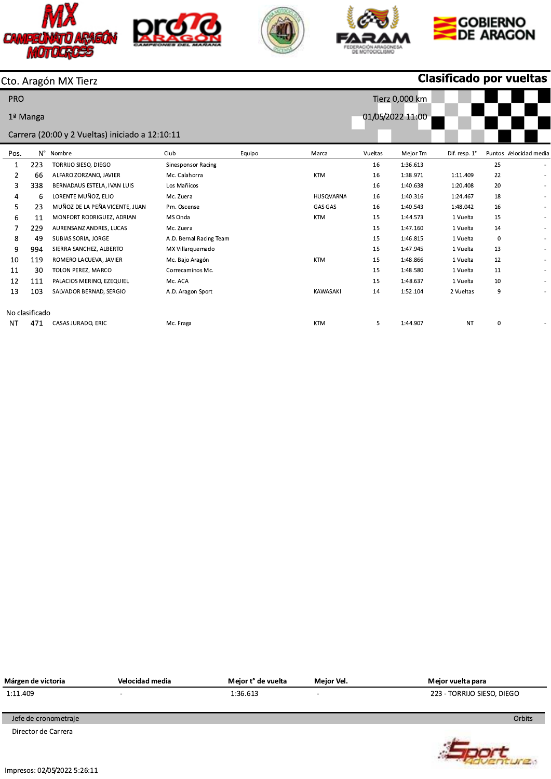









**Clasificado por vueltas** 

## Cto. Aragón MX Tierz

| <b>PRO</b> |                |                                                 |                           |        |                 |         | Tierz 0,000 km   |               |             |                          |
|------------|----------------|-------------------------------------------------|---------------------------|--------|-----------------|---------|------------------|---------------|-------------|--------------------------|
|            | 1ª Manga       |                                                 |                           |        |                 |         | 01/05/2022 11:00 |               |             |                          |
|            |                | Carrera (20:00 y 2 Vueltas) iniciado a 12:10:11 |                           |        |                 |         |                  |               |             |                          |
| Pos.       | N°             | Nombre                                          | Club                      | Equipo | Marca           | Vueltas | Mejor Tm         | Dif. resp. 1° |             | Puntos Velocidad medi    |
| 1          | 223            | TORRIJO SIESO, DIEGO                            | <b>Sinesponsor Racing</b> |        |                 | 16      | 1:36.613         |               | 25          |                          |
| 2          | 66             | ALFARO ZORZANO, JAVIER                          | Mc. Calahorra             |        | <b>KTM</b>      | 16      | 1:38.971         | 1:11.409      | 22          | ٠                        |
| 3          | 338            | BERNADAUS ESTELA, IVAN LUIS                     | Los Mañicos               |        |                 | 16      | 1:40.638         | 1:20.408      | 20          |                          |
| 4          | 6              | LORENTE MUÑOZ, ELIO                             | Mc. Zuera                 |        | HUSQVARNA       | 16      | 1:40.316         | 1:24.467      | 18          |                          |
| 5          | 23             | MUÑOZ DE LA PEÑA VICENTE, JUAN                  | Pm. Oscense               |        | <b>GAS GAS</b>  | 16      | 1:40.543         | 1:48.042      | 16          | $\overline{a}$           |
| 6          | 11             | MONFORT RODRIGUEZ, ADRIAN                       | MS Onda                   |        | <b>KTM</b>      | 15      | 1:44.573         | 1 Vuelta      | 15          | $\blacksquare$           |
|            | 229            | AURENSANZ ANDRES, LUCAS                         | Mc. Zuera                 |        |                 | 15      | 1:47.160         | 1 Vuelta      | 14          | $\overline{\phantom{a}}$ |
| 8          | 49             | SUBIAS SORIA, JORGE                             | A.D. Bernal Racing Team   |        |                 | 15      | 1:46.815         | 1 Vuelta      | $\mathbf 0$ | $\sim$                   |
| 9          | 994            | SIERRA SANCHEZ, ALBERTO                         | MX Villarquemado          |        |                 | 15      | 1:47.945         | 1 Vuelta      | 13          | ٠                        |
| 10         | 119            | ROMERO LACUEVA, JAVIER                          | Mc. Bajo Aragón           |        | <b>KTM</b>      | 15      | 1:48.866         | 1 Vuelta      | 12          | $\overline{\phantom{a}}$ |
| 11         | 30             | TOLON PEREZ, MARCO                              | Correcaminos Mc.          |        |                 | 15      | 1:48.580         | 1 Vuelta      | 11          | ٠                        |
| 12         | 111            | PALACIOS MERINO, EZEQUIEL                       | Mc. ACA                   |        |                 | 15      | 1:48.637         | 1 Vuelta      | 10          |                          |
| 13         | 103            | SALVADOR BERNAD, SERGIO                         | A.D. Aragon Sport         |        | <b>KAWASAKI</b> | 14      | 1:52.104         | 2 Vueltas     | 9           |                          |
|            | No clasificado |                                                 |                           |        |                 |         |                  |               |             |                          |
| NT         | 471            | CASAS JURADO, ERIC                              | Mc. Fraga                 |        | <b>KTM</b>      | 5       | 1:44.907         | <b>NT</b>     | 0           |                          |

| Márgen de victoria             | Velocidad media          | Mejor t° de vuelta | Mejor Vel.               | Mejor vuelta para          |
|--------------------------------|--------------------------|--------------------|--------------------------|----------------------------|
| 1:11.409                       | $\overline{\phantom{a}}$ | 1:36.613           | $\overline{\phantom{0}}$ | 223 - TORRIJO SIESO, DIEGO |
|                                |                          |                    |                          |                            |
| Jefe de cronometraje           |                          |                    |                          | Orbits                     |
| Director de Carrera            |                          |                    |                          |                            |
|                                |                          |                    |                          |                            |
|                                |                          |                    |                          |                            |
| $Impraces(0)$ $AE$ 002 5.26.11 |                          |                    |                          |                            |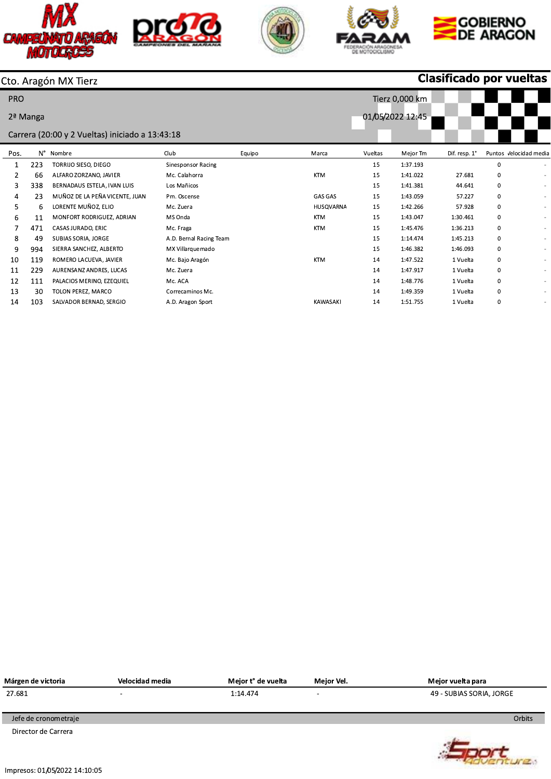



A.D. Aragon Sport







**Clasificado por vueltas** 

## Cto. Aragón MX Tierz

14

103

SALVADOR BERNAD, SERGIO

| <b>PRO</b> |            |                                                 |                           | Tierz 0,000 km |                  |         |          |               |   |                          |  |  |
|------------|------------|-------------------------------------------------|---------------------------|----------------|------------------|---------|----------|---------------|---|--------------------------|--|--|
|            | $2a$ Manga |                                                 |                           |                | 01/05/2022 12:45 |         |          |               |   |                          |  |  |
|            |            | Carrera (20:00 y 2 Vueltas) iniciado a 13:43:18 |                           |                |                  |         |          |               |   |                          |  |  |
| Pos.       |            | N° Nombre                                       | Club                      | Equipo         | Marca            | Vueltas | Mejor Tm | Dif. resp. 1° |   | Puntos Velocidad medi    |  |  |
| 1          | 223        | TORRIJO SIESO, DIEGO                            | <b>Sinesponsor Racing</b> |                |                  | 15      | 1:37.193 |               | 0 |                          |  |  |
| 2          | 66         | ALFARO ZORZANO, JAVIER                          | Mc. Calahorra             |                | <b>KTM</b>       | 15      | 1:41.022 | 27.681        | 0 |                          |  |  |
| 3          | 338        | BERNADAUS ESTELA, IVAN LUIS                     | Los Mañicos               |                |                  | 15      | 1:41.381 | 44.641        | 0 | $\overline{\phantom{a}}$ |  |  |
| 4          | 23         | MUÑOZ DE LA PEÑA VICENTE, JUAN                  | Pm. Oscense               |                | <b>GAS GAS</b>   | 15      | 1:43.059 | 57.227        | 0 |                          |  |  |
| 5          | 6          | LORENTE MUÑOZ, ELIO                             | Mc. Zuera                 |                | HUSQVARNA        | 15      | 1:42.266 | 57.928        | 0 |                          |  |  |
| 6          | 11         | MONFORT RODRIGUEZ, ADRIAN                       | MS Onda                   |                | <b>KTM</b>       | 15      | 1:43.047 | 1:30.461      | 0 |                          |  |  |
|            | 471        | CASAS JURADO, ERIC                              | Mc. Fraga                 |                | <b>KTM</b>       | 15      | 1:45.476 | 1:36.213      | 0 |                          |  |  |
| 8          | 49         | SUBIAS SORIA, JORGE                             | A.D. Bernal Racing Team   |                |                  | 15      | 1:14.474 | 1:45.213      | 0 |                          |  |  |
| 9          | 994        | SIERRA SANCHEZ, ALBERTO                         | MX Villarquemado          |                |                  | 15      | 1:46.382 | 1:46.093      | 0 |                          |  |  |
| 10         | 119        | ROMERO LACUEVA, JAVIER                          | Mc. Bajo Aragón           |                | <b>KTM</b>       | 14      | 1:47.522 | 1 Vuelta      | 0 |                          |  |  |
| 11         | 229        | AURENSANZ ANDRES, LUCAS                         | Mc. Zuera                 |                |                  | 14      | 1:47.917 | 1 Vuelta      | 0 |                          |  |  |
| 12         | 111        | PALACIOS MERINO, EZEQUIEL                       | Mc. ACA                   |                |                  | 14      | 1:48.776 | 1 Vuelta      | 0 |                          |  |  |
| 13         | 30         | TOLON PEREZ, MARCO                              | Correcaminos Mc.          |                |                  | 14      | 1:49.359 | 1 Vuelta      | 0 |                          |  |  |

KAWASAKI

 $14$ 

1:51.755

1 Vuelta

 $\mathbf 0$ 

| Márgen de victoria   | Velocidad media          | Mejor t° de vuelta | Meior Vel.               | Meior vuelta para        |
|----------------------|--------------------------|--------------------|--------------------------|--------------------------|
| 27.681               | $\overline{\phantom{a}}$ | 1:14.474           | $\overline{\phantom{a}}$ | 49 - SUBIAS SORIA, JORGE |
|                      |                          |                    |                          |                          |
| Jefe de cronometraje |                          |                    |                          | Orbits                   |
| Director de Carrera  |                          |                    |                          |                          |

Impresos: 01/05/2022 14:10:05

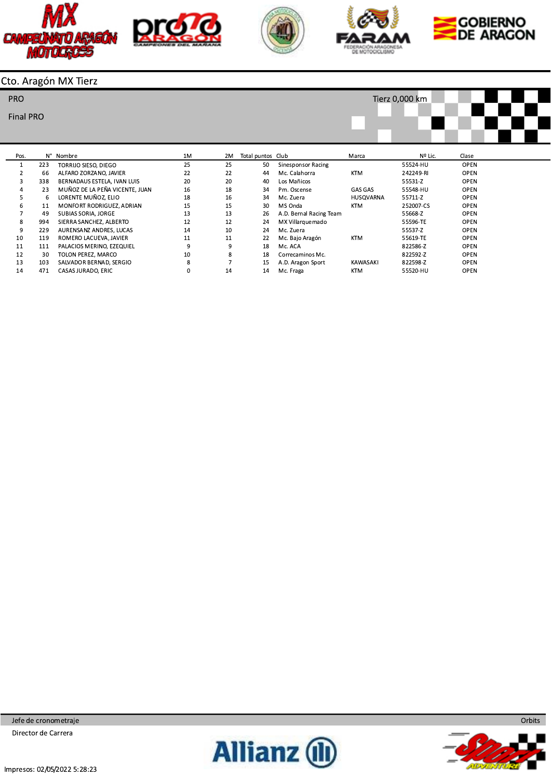









# Cto. Aragón MX Tierz

#### PRO

### **Final PRO**



| Pos. |     | N° Nombre                      | 1M | 2M | Total puntos Club |                           | Marca      | Nº Lic.   | Clase       |
|------|-----|--------------------------------|----|----|-------------------|---------------------------|------------|-----------|-------------|
|      | 223 | TORRIJO SIESO, DIEGO           | 25 | 25 | 50                | <b>Sinesponsor Racing</b> |            | 55524-HU  | <b>OPEN</b> |
|      | 66  | ALFARO ZORZANO, JAVIER         | 22 | 22 | 44                | Mc. Calahorra             | <b>KTM</b> | 242249-RI | <b>OPEN</b> |
| 3    | 338 | BERNADAUS ESTELA, IVAN LUIS    | 20 | 20 | 40                | Los Mañicos               |            | 55531-Z   | <b>OPEN</b> |
| 4    | 23  | MUÑOZ DE LA PEÑA VICENTE, JUAN | 16 | 18 | 34                | Pm. Oscense               | GAS GAS    | 55548-HU  | <b>OPEN</b> |
|      | -6  | LORENTE MUÑOZ, ELIO            | 18 | 16 | 34                | Mc. Zuera                 | HUSQVARNA  | 55711-Z   | <b>OPEN</b> |
| ь    | 11  | MONFORT RODRIGUEZ, ADRIAN      | 15 | 15 | 30                | MS Onda                   | <b>KTM</b> | 252007-CS | <b>OPEN</b> |
|      | 49  | SUBIAS SORIA, JORGE            | 13 | 13 | 26                | A.D. Bernal Racing Team   |            | 55668-Z   | <b>OPEN</b> |
| 8    | 994 | SIERRA SANCHEZ, ALBERTO        | 12 | 12 | 24                | MX Villarquemado          |            | 55596-TE  | <b>OPEN</b> |
| 9    | 229 | AURENSANZ ANDRES, LUCAS        | 14 | 10 | 24                | Mc. Zuera                 |            | 55537-Z   | <b>OPEN</b> |
| 10   | 119 | ROMERO LACUEVA, JAVIER         | 11 | 11 | 22                | Mc. Bajo Aragón           | <b>KTM</b> | 55619-TE  | <b>OPEN</b> |
| 11   | 111 | PALACIOS MERINO, EZEQUIEL      |    | 9  | 18                | Mc. ACA                   |            | 822586-Z  | <b>OPEN</b> |
| 12   | 30  | TOLON PEREZ, MARCO             | 10 | 8  | 18                | Correcaminos Mc.          |            | 822592-Z  | <b>OPEN</b> |
| 13   | 103 | SALVADOR BERNAD, SERGIO        | 8  |    | 15                | A.D. Aragon Sport         | KAWASAKI   | 822598-Z  | <b>OPEN</b> |
| 14   | 471 | CASAS JURADO, ERIC             |    | 14 | 14                | Mc. Fraga                 | <b>KTM</b> | 55520-HU  | <b>OPEN</b> |



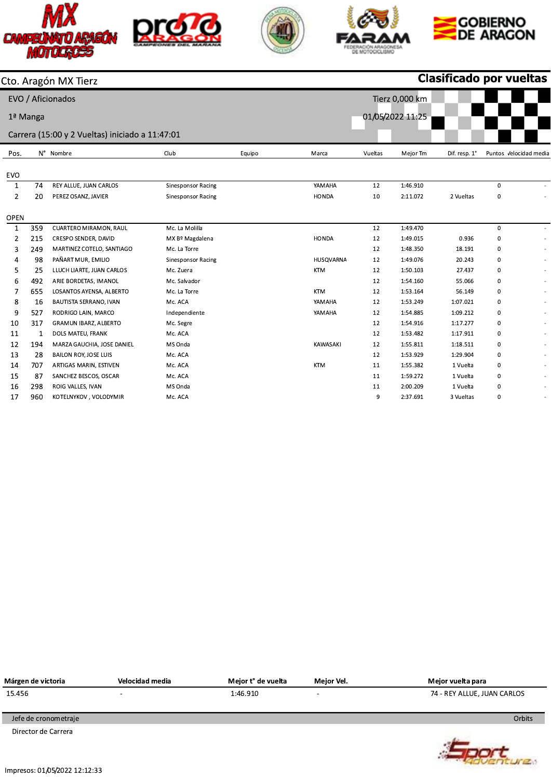









**DOCT**ure

|                |          | Cto. Aragón MX Tierz                            |                           |        |              |         |                  | <b>Clasificado por vueltas</b> |             |                          |
|----------------|----------|-------------------------------------------------|---------------------------|--------|--------------|---------|------------------|--------------------------------|-------------|--------------------------|
|                |          | EVO / Aficionados                               |                           |        |              |         | Tierz 0,000 km   |                                |             |                          |
|                |          |                                                 |                           |        |              |         | 01/05/2022 11:25 |                                |             |                          |
|                | 1ª Manga |                                                 |                           |        |              |         |                  |                                |             |                          |
|                |          | Carrera (15:00 y 2 Vueltas) iniciado a 11:47:01 |                           |        |              |         |                  |                                |             |                          |
| Pos.           |          | N° Nombre                                       | Club                      | Equipo | Marca        | Vueltas | Mejor Tm         | Dif. resp. 1°                  |             | Puntos Velocidad media   |
|                |          |                                                 |                           |        |              |         |                  |                                |             |                          |
| <b>EVO</b>     |          |                                                 |                           |        |              |         |                  |                                |             |                          |
| 1              | 74       | REY ALLUE, JUAN CARLOS                          | <b>Sinesponsor Racing</b> |        | YAMAHA       | 12      | 1:46.910         |                                | $\mathbf 0$ |                          |
| $\overline{2}$ | 20       | PEREZ OSANZ, JAVIER                             | <b>Sinesponsor Racing</b> |        | <b>HONDA</b> | 10      | 2:11.072         | 2 Vueltas                      | 0           | $\sim$                   |
| <b>OPEN</b>    |          |                                                 |                           |        |              |         |                  |                                |             |                          |
| $\mathbf 1$    | 359      | CUARTERO MIRAMON, RAUL                          | Mc. La Molilla            |        |              | 12      | 1:49.470         |                                | $\mathbf 0$ |                          |
| 2              | 215      | CRESPO SENDER, DAVID                            | MX Bº Magdalena           |        | <b>HONDA</b> | 12      | 1:49.015         | 0.936                          | 0           | $\sim$                   |
| 3              | 249      | MARTINEZ COTELO, SANTIAGO                       | Mc. La Torre              |        |              | 12      | 1:48.350         | 18.191                         | 0           | $\blacksquare$           |
| 4              | 98       | PAÑART MUR, EMILIO                              | <b>Sinesponsor Racing</b> |        | HUSQVARNA    | 12      | 1:49.076         | 20.243                         | $\mathbf 0$ | $\overline{\phantom{a}}$ |
| 5              | 25       | LLUCH LIARTE, JUAN CARLOS                       | Mc. Zuera                 |        | <b>KTM</b>   | 12      | 1:50.103         | 27.437                         | 0           | $\overline{\phantom{a}}$ |
| 6              | 492      | ARIE BORDETAS, IMANOL                           | Mc. Salvador              |        |              | 12      | 1:54.160         | 55.066                         | 0           | $\blacksquare$           |
| 7              | 655      | LOSANTOS AYENSA, ALBERTO                        | Mc. La Torre              |        | <b>KTM</b>   | 12      | 1:53.164         | 56.149                         | 0           | $\epsilon$               |
| 8              | 16       | BAUTISTA SERRANO, IVAN                          | Mc. ACA                   |        | YAMAHA       | 12      | 1:53.249         | 1:07.021                       | $\mathbf 0$ | $\blacksquare$           |
| 9              | 527      | RODRIGO LAIN, MARCO                             | Independiente             |        | YAMAHA       | 12      | 1:54.885         | 1:09.212                       | 0           | $\blacksquare$           |
| 10             | 317      | GRAMUN IBARZ, ALBERTO                           | Mc. Segre                 |        |              | 12      | 1:54.916         | 1:17.277                       | 0           | $\overline{\phantom{a}}$ |
| 11             | 1        | DOLS MATEU, FRANK                               | Mc. ACA                   |        |              | 12      | 1:53.482         | 1:17.911                       | 0           | $\alpha$                 |
| 12             | 194      | MARZA GAUCHIA, JOSE DANIEL                      | MS Onda                   |        | KAWASAKI     | 12      | 1:55.811         | 1:18.511                       | 0           | $\overline{\phantom{a}}$ |
| 13             | 28       | <b>BAILON ROY, JOSE LUIS</b>                    | Mc. ACA                   |        |              | 12      | 1:53.929         | 1:29.904                       | 0           | $\overline{\phantom{a}}$ |
| 14             | 707      | ARTIGAS MARIN, ESTIVEN                          | Mc. ACA                   |        | <b>KTM</b>   | 11      | 1:55.382         | 1 Vuelta                       | 0           | $\overline{\phantom{a}}$ |
| 15             | 87       | SANCHEZ BESCOS, OSCAR                           | Mc. ACA                   |        |              | 11      | 1:59.272         | 1 Vuelta                       | 0           | $\sim$                   |
| 16             | 298      | ROIG VALLES, IVAN                               | MS Onda                   |        |              | 11      | 2:00.209         | 1 Vuelta                       | 0           | $\overline{\phantom{a}}$ |
| 17             | 960      | KOTELNYKOV, VOLODYMIR                           | Mc. ACA                   |        |              | 9       | 2:37.691         | 3 Vueltas                      | $\mathbf 0$ | $\sim$                   |

| Márgen de victoria   | Velocidad media          | Mejor t° de vuelta | Meior Vel. | Mejor vuelta para           |
|----------------------|--------------------------|--------------------|------------|-----------------------------|
| 15.456               | $\overline{\phantom{a}}$ | 1:46.910           | -          | 74 - REY ALLUE, JUAN CARLOS |
|                      |                          |                    |            |                             |
| Jefe de cronometraje |                          |                    |            | Orbits                      |
|                      |                          |                    |            |                             |

Director de Carrera

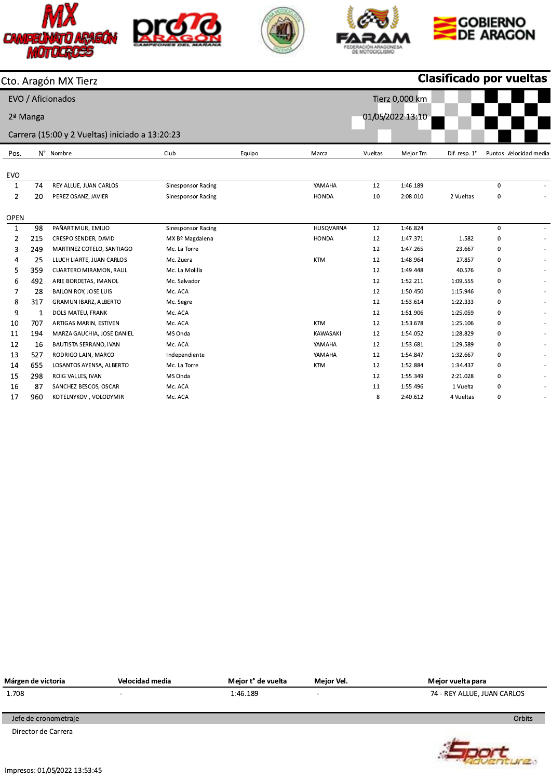









|                |          | Cto. Aragón MX Tierz                            |                           |        | Clasificado por vueltas |         |                  |               |             |                          |  |  |  |
|----------------|----------|-------------------------------------------------|---------------------------|--------|-------------------------|---------|------------------|---------------|-------------|--------------------------|--|--|--|
|                |          | EVO / Aficionados                               |                           |        |                         |         | Tierz 0,000 km   |               |             |                          |  |  |  |
|                | 2ª Manga |                                                 |                           |        |                         |         | 01/05/2022 13:10 |               |             |                          |  |  |  |
|                |          |                                                 |                           |        |                         |         |                  |               |             |                          |  |  |  |
|                |          | Carrera (15:00 y 2 Vueltas) iniciado a 13:20:23 |                           |        |                         |         |                  |               |             |                          |  |  |  |
| Pos.           |          | N° Nombre                                       | Club                      | Equipo | Marca                   | Vueltas | Mejor Tm         | Dif. resp. 1° |             | Puntos Velocidad media   |  |  |  |
| <b>EVO</b>     |          |                                                 |                           |        |                         |         |                  |               |             |                          |  |  |  |
| 1              | 74       | REY ALLUE, JUAN CARLOS                          | <b>Sinesponsor Racing</b> |        | YAMAHA                  | 12      | 1:46.189         |               | $\mathbf 0$ |                          |  |  |  |
| $\overline{2}$ | 20       | PEREZ OSANZ, JAVIER                             | <b>Sinesponsor Racing</b> |        | <b>HONDA</b>            | 10      | 2:08.010         | 2 Vueltas     | 0           |                          |  |  |  |
|                |          |                                                 |                           |        |                         |         |                  |               |             |                          |  |  |  |
| <b>OPEN</b>    |          |                                                 |                           |        |                         |         |                  |               |             |                          |  |  |  |
| $\mathbf 1$    | 98       | PAÑART MUR, EMILIO                              | <b>Sinesponsor Racing</b> |        | HUSQVARNA               | 12      | 1:46.824         |               | $\mathbf 0$ |                          |  |  |  |
| 2              | 215      | CRESPO SENDER, DAVID                            | MX Bº Magdalena           |        | <b>HONDA</b>            | 12      | 1:47.371         | 1.582         | $\mathbf 0$ |                          |  |  |  |
| 3              | 249      | MARTINEZ COTELO, SANTIAGO                       | Mc. La Torre              |        |                         | 12      | 1:47.265         | 23.667        | 0           | $\blacksquare$           |  |  |  |
| 4              | 25       | LLUCH LIARTE, JUAN CARLOS                       | Mc. Zuera                 |        | <b>KTM</b>              | 12      | 1:48.964         | 27.857        | $\mathbf 0$ | $\overline{\phantom{a}}$ |  |  |  |
| 5              | 359      | CUARTERO MIRAMON, RAUL                          | Mc. La Molilla            |        |                         | 12      | 1:49.448         | 40.576        | 0           | $\blacksquare$           |  |  |  |
| 6              | 492      | ARIE BORDETAS, IMANOL                           | Mc. Salvador              |        |                         | 12      | 1:52.211         | 1:09.555      | $\mathbf 0$ | $\omega$                 |  |  |  |
| 7              | 28       | <b>BAILON ROY, JOSE LUIS</b>                    | Mc. ACA                   |        |                         | 12      | 1:50.450         | 1:15.946      | 0           | ٠                        |  |  |  |
| 8              | 317      | <b>GRAMUN IBARZ, ALBERTO</b>                    | Mc. Segre                 |        |                         | 12      | 1:53.614         | 1:22.333      | 0           | $\sim$                   |  |  |  |
| 9              | 1        | DOLS MATEU, FRANK                               | Mc. ACA                   |        |                         | 12      | 1:51.906         | 1:25.059      | 0           | ٠                        |  |  |  |
| 10             | 707      | ARTIGAS MARIN, ESTIVEN                          | Mc. ACA                   |        | <b>KTM</b>              | 12      | 1:53.678         | 1:25.106      | 0           |                          |  |  |  |
| 11             | 194      | MARZA GAUCHIA, JOSE DANIEL                      | MS Onda                   |        | <b>KAWASAKI</b>         | 12      | 1:54.052         | 1:28.829      | 0           |                          |  |  |  |
| 12             | 16       | BAUTISTA SERRANO, IVAN                          | Mc. ACA                   |        | YAMAHA                  | 12      | 1:53.681         | 1:29.589      | 0           | $\overline{a}$           |  |  |  |
| 13             | 527      | RODRIGO LAIN, MARCO                             | Independiente             |        | YAMAHA                  | 12      | 1:54.847         | 1:32.667      | 0           | $\sim$                   |  |  |  |
| 14             | 655      | LOSANTOS AYENSA, ALBERTO                        | Mc. La Torre              |        | <b>KTM</b>              | 12      | 1:52.884         | 1:34.437      | 0           | $\overline{\phantom{0}}$ |  |  |  |
| 15             | 298      | ROIG VALLES, IVAN                               | MS Onda                   |        |                         | 12      | 1:55.349         | 2:21.028      | 0           |                          |  |  |  |
| 16             | 87       | SANCHEZ BESCOS, OSCAR                           | Mc. ACA                   |        |                         | 11      | 1:55.496         | 1 Vuelta      | 0           | $\blacksquare$           |  |  |  |
| 17             | 960      | KOTELNYKOV, VOLODYMIR                           | Mc. ACA                   |        |                         | 8       | 2:40.612         | 4 Vueltas     | $\Omega$    | $\blacksquare$           |  |  |  |

| 74 - REY ALLUE, JUAN CARLOS |
|-----------------------------|
|                             |
| Orbits                      |
|                             |

Director de Carrera